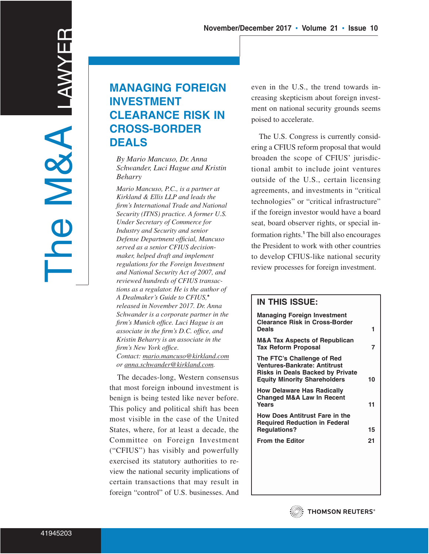# **MANAGING FOREIGN INVESTMENT CLEARANCE RISK IN CROSS-BORDER DEALS**

*By Mario Mancuso, Dr. Anna Schwander, Luci Hague and Kristin Beharry*

*Mario Mancuso, P.C., is a partner at Kirkland & Ellis LLP and leads the firm's International Trade and National Security (ITNS) practice. A former U.S. Under Secretary of Commerce for Industry and Security and senior Defense Department official, Mancuso served as a senior CFIUS decisionmaker, helped draft and implement regulations for the Foreign Investment and National Security Act of 2007, and reviewed hundreds of CFIUS transactions as a regulator. He is the author of A Dealmaker's Guide to CFIUS,***\*** *released in November 2017. Dr. Anna Schwander is a corporate partner in the firm's Munich office. Luci Hague is an associate in the firm's D.C. office, and Kristin Beharry is an associate in the firm's New York office. Contact: mario.mancuso@kirkland.com or anna.schwander@kirkland.com.*

The decades-long, Western consensus that most foreign inbound investment is benign is being tested like never before. This policy and political shift has been most visible in the case of the United States, where, for at least a decade, the Committee on Foreign Investment ("CFIUS") has visibly and powerfully exercised its statutory authorities to review the national security implications of certain transactions that may result in foreign "control" of U.S. businesses. And

even in the U.S., the trend towards increasing skepticism about foreign investment on national security grounds seems poised to accelerate.

The U.S. Congress is currently considering a CFIUS reform proposal that would broaden the scope of CFIUS' jurisdictional ambit to include joint ventures outside of the U.S., certain licensing agreements, and investments in "critical technologies" or "critical infrastructure" if the foreign investor would have a board seat, board observer rights, or special information rights.**<sup>1</sup>** The bill also encourages the President to work with other countries to develop CFIUS-like national security review processes for foreign investment.

# **IN THIS ISSUE: Managing Foreign Investment Clearance Risk in Cross-Border Deals 1 M&A Tax Aspects of Republican** Tax Reform Proposal 7 **The FTC's Challenge of Red Ventures-Bankrate: Antitrust Risks in Deals Backed by Private Equity Minority Shareholders 10 How Delaware Has Radically Changed M&A Law In Recent Years 11 How Does Antitrust Fare in the Required Reduction in Federal Regulations? 15 From the Editor 21**

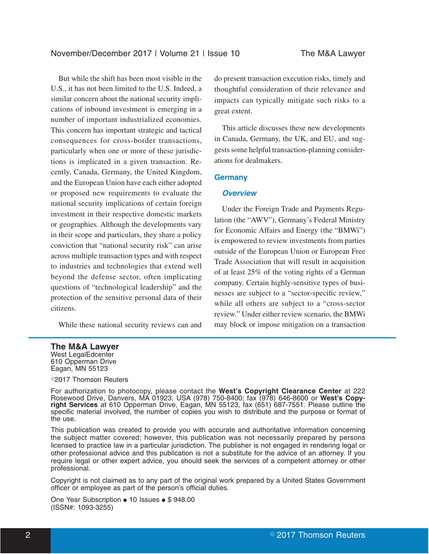But while the shift has been most visible in the U.S., it has not been limited to the U.S. Indeed, a similar concern about the national security implications of inbound investment is emerging in a number of important industrialized economies. This concern has important strategic and tactical consequences for cross-border transactions, particularly when one or more of these jurisdictions is implicated in a given transaction. Recently, Canada, Germany, the United Kingdom, and the European Union have each either adopted or proposed new requirements to evaluate the national security implications of certain foreign investment in their respective domestic markets or geographies. Although the developments vary in their scope and particulars, they share a policy conviction that "national security risk" can arise across multiple transaction types and with respect to industries and technologies that extend well beyond the defense sector, often implicating questions of "technological leadership" and the protection of the sensitive personal data of their citizens.

While these national security reviews can and

do present transaction execution risks, timely and thoughtful consideration of their relevance and impacts can typically mitigate such risks to a great extent.

This article discusses these new developments in Canada, Germany, the UK, and EU, and suggests some helpful transaction-planning considerations for dealmakers.

# **Germany**

# **Overview**

Under the Foreign Trade and Payments Regulation (the "AWV"), Germany's Federal Ministry for Economic Affairs and Energy (the "BMWi") is empowered to review investments from parties outside of the European Union or European Free Trade Association that will result in acquisition of at least 25% of the voting rights of a German company. Certain highly-sensitive types of businesses are subject to a "sector-specific review," while all others are subject to a "cross-sector review." Under either review scenario, the BMWi may block or impose mitigation on a transaction

# **The M&A Lawyer**

West LegalEdcenter 610 Opperman Drive Eagan, MN 55123

#### <sup>©</sup>2017 Thomson Reuters

For authorization to photocopy, please contact the **West's Copyright Clearance Center** at 222 Rosewood Drive, Danvers, MA 01923, USA (978) 750-8400; fax (978) 646-8600 or **West's Copyright Services** at 610 Opperman Drive, Eagan, MN 55123, fax (651) 687-7551. Please outline the specific material involved, the number of copies you wish to distribute and the purpose or format of the use.

This publication was created to provide you with accurate and authoritative information concerning the subject matter covered; however, this publication was not necessarily prepared by persons licensed to practice law in a particular jurisdiction. The publisher is not engaged in rendering legal or other professional advice and this publication is not a substitute for the advice of an attorney. If you require legal or other expert advice, you should seek the services of a competent attorney or other professional.

Copyright is not claimed as to any part of the original work prepared by a United States Government officer or employee as part of the person's official duties.

One Year Subscription • 10 Issues • \$ 948.00 (ISSN#: 1093-3255)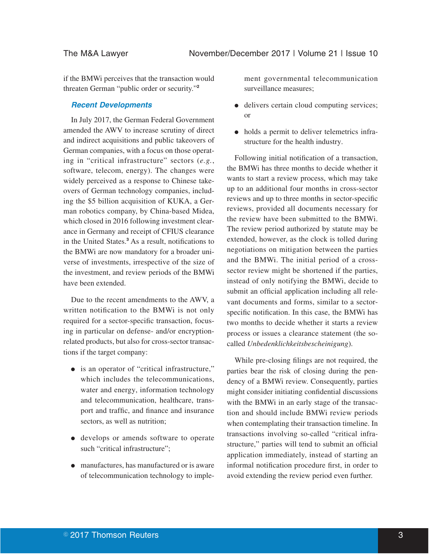if the BMWi perceives that the transaction would threaten German "public order or security."**<sup>2</sup>**

#### **Recent Developments**

In July 2017, the German Federal Government amended the AWV to increase scrutiny of direct and indirect acquisitions and public takeovers of German companies, with a focus on those operating in "critical infrastructure" sectors (*e.g.*, software, telecom, energy). The changes were widely perceived as a response to Chinese takeovers of German technology companies, including the \$5 billion acquisition of KUKA, a German robotics company, by China-based Midea, which closed in 2016 following investment clearance in Germany and receipt of CFIUS clearance in the United States.**<sup>3</sup>** As a result, notifications to the BMWi are now mandatory for a broader universe of investments, irrespective of the size of the investment, and review periods of the BMWi have been extended.

Due to the recent amendments to the AWV, a written notification to the BMWi is not only required for a sector-specific transaction, focusing in particular on defense- and/or encryptionrelated products, but also for cross-sector transactions if the target company:

- is an operator of "critical infrastructure," which includes the telecommunications, water and energy, information technology and telecommunication, healthcare, transport and traffic, and finance and insurance sectors, as well as nutrition;
- develops or amends software to operate such "critical infrastructure";
- E manufactures, has manufactured or is aware of telecommunication technology to imple-

ment governmental telecommunication surveillance measures;

- delivers certain cloud computing services; or
- holds a permit to deliver telemetrics infrastructure for the health industry.

Following initial notification of a transaction, the BMWi has three months to decide whether it wants to start a review process, which may take up to an additional four months in cross-sector reviews and up to three months in sector-specific reviews, provided all documents necessary for the review have been submitted to the BMWi. The review period authorized by statute may be extended, however, as the clock is tolled during negotiations on mitigation between the parties and the BMWi. The initial period of a crosssector review might be shortened if the parties, instead of only notifying the BMWi, decide to submit an official application including all relevant documents and forms, similar to a sectorspecific notification. In this case, the BMWi has two months to decide whether it starts a review process or issues a clearance statement (the socalled *Unbedenklichkeitsbescheinigung*).

While pre-closing filings are not required, the parties bear the risk of closing during the pendency of a BMWi review. Consequently, parties might consider initiating confidential discussions with the BMWi in an early stage of the transaction and should include BMWi review periods when contemplating their transaction timeline. In transactions involving so-called "critical infrastructure," parties will tend to submit an official application immediately, instead of starting an informal notification procedure first, in order to avoid extending the review period even further.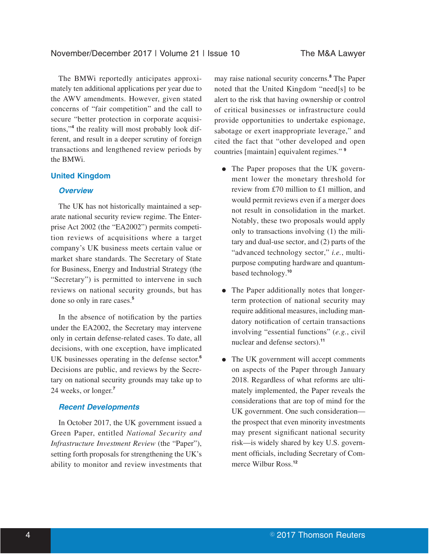The BMWi reportedly anticipates approximately ten additional applications per year due to the AWV amendments. However, given stated concerns of "fair competition" and the call to secure "better protection in corporate acquisitions,"**<sup>4</sup>** the reality will most probably look different, and result in a deeper scrutiny of foreign transactions and lengthened review periods by the BMWi.

### **United Kingdom**

# **Overview**

The UK has not historically maintained a separate national security review regime. The Enterprise Act 2002 (the "EA2002") permits competition reviews of acquisitions where a target company's UK business meets certain value or market share standards. The Secretary of State for Business, Energy and Industrial Strategy (the "Secretary") is permitted to intervene in such reviews on national security grounds, but has done so only in rare cases.**<sup>5</sup>**

In the absence of notification by the parties under the EA2002, the Secretary may intervene only in certain defense-related cases. To date, all decisions, with one exception, have implicated UK businesses operating in the defense sector.**<sup>6</sup>** Decisions are public, and reviews by the Secretary on national security grounds may take up to 24 weeks, or longer.**<sup>7</sup>**

#### **Recent Developments**

In October 2017, the UK government issued a Green Paper, entitled *National Security and Infrastructure Investment Review* (the "Paper"), setting forth proposals for strengthening the UK's ability to monitor and review investments that may raise national security concerns.**<sup>8</sup>** The Paper noted that the United Kingdom "need[s] to be alert to the risk that having ownership or control of critical businesses or infrastructure could provide opportunities to undertake espionage, sabotage or exert inappropriate leverage," and cited the fact that "other developed and open countries [maintain] equivalent regimes." **<sup>9</sup>**

- The Paper proposes that the UK government lower the monetary threshold for review from £70 million to £1 million, and would permit reviews even if a merger does not result in consolidation in the market. Notably, these two proposals would apply only to transactions involving (1) the military and dual-use sector, and (2) parts of the "advanced technology sector," *i.e.*, multipurpose computing hardware and quantumbased technology.**<sup>10</sup>**
- The Paper additionally notes that longerterm protection of national security may require additional measures, including mandatory notification of certain transactions involving "essential functions" (*e.g.*, civil nuclear and defense sectors).**<sup>11</sup>**
- The UK government will accept comments on aspects of the Paper through January 2018. Regardless of what reforms are ultimately implemented, the Paper reveals the considerations that are top of mind for the UK government. One such consideration the prospect that even minority investments may present significant national security risk—is widely shared by key U.S. government officials, including Secretary of Commerce Wilbur Ross.**<sup>12</sup>**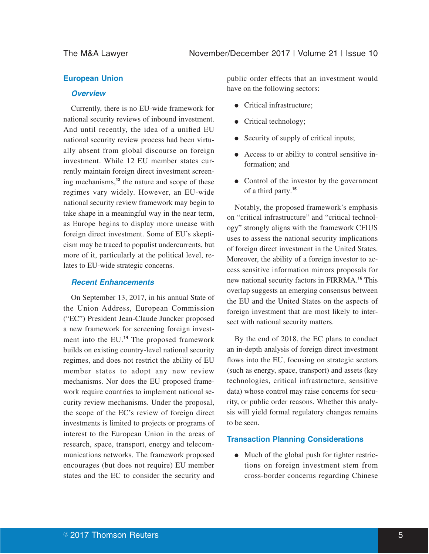# **European Union**

### **Overview**

Currently, there is no EU-wide framework for national security reviews of inbound investment. And until recently, the idea of a unified EU national security review process had been virtually absent from global discourse on foreign investment. While 12 EU member states currently maintain foreign direct investment screening mechanisms,**<sup>13</sup>** the nature and scope of these regimes vary widely. However, an EU-wide national security review framework may begin to take shape in a meaningful way in the near term, as Europe begins to display more unease with foreign direct investment. Some of EU's skepticism may be traced to populist undercurrents, but more of it, particularly at the political level, relates to EU-wide strategic concerns.

#### **Recent Enhancements**

On September 13, 2017, in his annual State of the Union Address, European Commission ("EC") President Jean-Claude Juncker proposed a new framework for screening foreign investment into the EU.**<sup>14</sup>** The proposed framework builds on existing country-level national security regimes, and does not restrict the ability of EU member states to adopt any new review mechanisms. Nor does the EU proposed framework require countries to implement national security review mechanisms. Under the proposal, the scope of the EC's review of foreign direct investments is limited to projects or programs of interest to the European Union in the areas of research, space, transport, energy and telecommunications networks. The framework proposed encourages (but does not require) EU member states and the EC to consider the security and

public order effects that an investment would have on the following sectors:

- Critical infrastructure:
- $\bullet$  Critical technology;
- Security of supply of critical inputs;
- E Access to or ability to control sensitive information; and
- Control of the investor by the government of a third party.**<sup>15</sup>**

Notably, the proposed framework's emphasis on "critical infrastructure" and "critical technology" strongly aligns with the framework CFIUS uses to assess the national security implications of foreign direct investment in the United States. Moreover, the ability of a foreign investor to access sensitive information mirrors proposals for new national security factors in FIRRMA.**<sup>16</sup>** This overlap suggests an emerging consensus between the EU and the United States on the aspects of foreign investment that are most likely to intersect with national security matters.

By the end of 2018, the EC plans to conduct an in-depth analysis of foreign direct investment flows into the EU, focusing on strategic sectors (such as energy, space, transport) and assets (key technologies, critical infrastructure, sensitive data) whose control may raise concerns for security, or public order reasons. Whether this analysis will yield formal regulatory changes remains to be seen.

# **Transaction Planning Considerations**

• Much of the global push for tighter restrictions on foreign investment stem from cross-border concerns regarding Chinese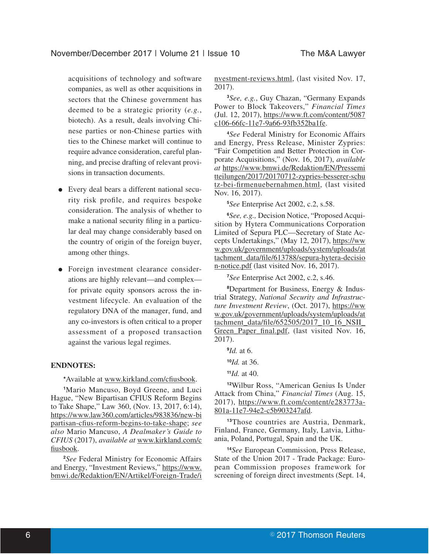acquisitions of technology and software companies, as well as other acquisitions in sectors that the Chinese government has deemed to be a strategic priority (*e.g.*, biotech). As a result, deals involving Chinese parties or non-Chinese parties with ties to the Chinese market will continue to require advance consideration, careful planning, and precise drafting of relevant provisions in transaction documents.

- Every deal bears a different national security risk profile, and requires bespoke consideration. The analysis of whether to make a national security filing in a particular deal may change considerably based on the country of origin of the foreign buyer, among other things.
- Foreign investment clearance considerations are highly relevant—and complex for private equity sponsors across the investment lifecycle. An evaluation of the regulatory DNA of the manager, fund, and any co-investors is often critical to a proper assessment of a proposed transaction against the various legal regimes.

# **ENDNOTES:**

**\***Available at www.kirkland.com/cfiusbook.

**<sup>1</sup>**Mario Mancuso, Boyd Greene, and Luci Hague, "New Bipartisan CFIUS Reform Begins to Take Shape," Law 360, (Nov. 13, 2017, 6:14), https://www.law360.com/articles/983836/new-bi partisan-cfius-reform-begins-to-take-shape; *see also* Mario Mancuso, *A Dealmaker's Guide to CFIUS* (2017), *available at* www.kirkland.com/c fiusbook.

**<sup>2</sup>***See* Federal Ministry for Economic Affairs and Energy, "Investment Reviews," https://www. bmwi.de/Redaktion/EN/Artikel/Foreign-Trade/i nvestment-reviews.html, (last visited Nov. 17, 2017).

**<sup>3</sup>***See, e.g.*, Guy Chazan, "Germany Expands Power to Block Takeovers," *Financial Times* (Jul. 12, 2017), https://www.ft.com/content/5087 c106-66fc-11e7-9a66-93fb352ba1fe.

**<sup>4</sup>***See* Federal Ministry for Economic Affairs and Energy, Press Release, Minister Zypries: "Fair Competition and Better Protection in Corporate Acquisitions," (Nov. 16, 2017), *available at* https://www.bmwi.de/Redaktion/EN/Pressemi tteilungen/2017/20170712-zypries-besserer-schu tz-bei-firmenuebernahmen.html, (last visited Nov. 16, 2017).

**<sup>5</sup>***See* Enterprise Act 2002, c.2, s.58.

**<sup>6</sup>***See, e.g.,* Decision Notice, "Proposed Acquisition by Hytera Communications Corporation Limited of Sepura PLC—Secretary of State Accepts Undertakings," (May 12, 2017), https://ww w.gov.uk/government/uploads/system/uploads/at tachment\_data/file/613788/sepura-hytera-decisio n-notice.pdf (last visited Nov. 16, 2017).

**<sup>7</sup>***See* Enterprise Act 2002, c.2, s.46.

**8**Department for Business, Energy & Industrial Strategy, *National Security and Infrastructure Investment Review*, (Oct. 2017), https://ww w.gov.uk/government/uploads/system/uploads/at tachment\_data/file/652505/2017\_10\_16\_NSII Green Paper final.pdf, (last visited Nov. 16, 2017).

**9** *Id.* at 6.

**<sup>10</sup>***Id.* at 36.

**<sup>11</sup>***Id.* at 40.

**<sup>12</sup>**Wilbur Ross, "American Genius Is Under Attack from China," *Financial Times* (Aug. 15, 2017), https://www.ft.com/content/e283773a-801a-11e7-94e2-c5b903247afd.

**<sup>13</sup>**Those countries are Austria, Denmark, Finland, France, Germany, Italy, Latvia, Lithuania, Poland, Portugal, Spain and the UK.

**<sup>14</sup>***See* European Commission, Press Release, State of the Union 2017 - Trade Package: European Commission proposes framework for screening of foreign direct investments (Sept. 14,